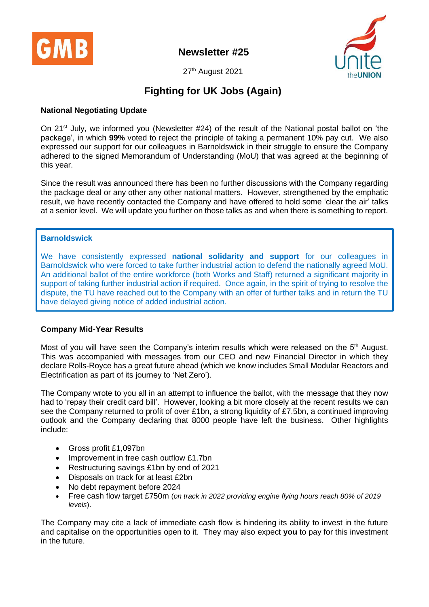

**Newsletter #25**



27<sup>th</sup> August 2021

# **Fighting for UK Jobs (Again)**

### **National Negotiating Update**

On 21<sup>st</sup> July, we informed you (Newsletter #24) of the result of the National postal ballot on 'the package', in which **99%** voted to reject the principle of taking a permanent 10% pay cut. We also expressed our support for our colleagues in Barnoldswick in their struggle to ensure the Company adhered to the signed Memorandum of Understanding (MoU) that was agreed at the beginning of this year.

Since the result was announced there has been no further discussions with the Company regarding the package deal or any other any other national matters. However, strengthened by the emphatic result, we have recently contacted the Company and have offered to hold some 'clear the air' talks at a senior level. We will update you further on those talks as and when there is something to report.

#### **Barnoldswick**

We have consistently expressed **national solidarity and support** for our colleagues in Barnoldswick who were forced to take further industrial action to defend the nationally agreed MoU. An additional ballot of the entire workforce (both Works and Staff) returned a significant majority in support of taking further industrial action if required. Once again, in the spirit of trying to resolve the dispute, the TU have reached out to the Company with an offer of further talks and in return the TU have delayed giving notice of added industrial action.

#### **Company Mid-Year Results**

Most of you will have seen the Company's interim results which were released on the  $5<sup>th</sup>$  August. This was accompanied with messages from our CEO and new Financial Director in which they declare Rolls-Royce has a great future ahead (which we know includes Small Modular Reactors and Electrification as part of its journey to 'Net Zero').

The Company wrote to you all in an attempt to influence the ballot, with the message that they now had to 'repay their credit card bill'. However, looking a bit more closely at the recent results we can see the Company returned to profit of over £1bn, a strong liquidity of £7.5bn, a continued improving outlook and the Company declaring that 8000 people have left the business. Other highlights include:

- Gross profit £1,097bn
- Improvement in free cash outflow £1.7bn
- Restructuring savings £1bn by end of 2021
- Disposals on track for at least £2bn
- No debt repayment before 2024
- Free cash flow target £750m (*on track in 2022 providing engine flying hours reach 80% of 2019 levels*).

The Company may cite a lack of immediate cash flow is hindering its ability to invest in the future and capitalise on the opportunities open to it. They may also expect **you** to pay for this investment in the future.